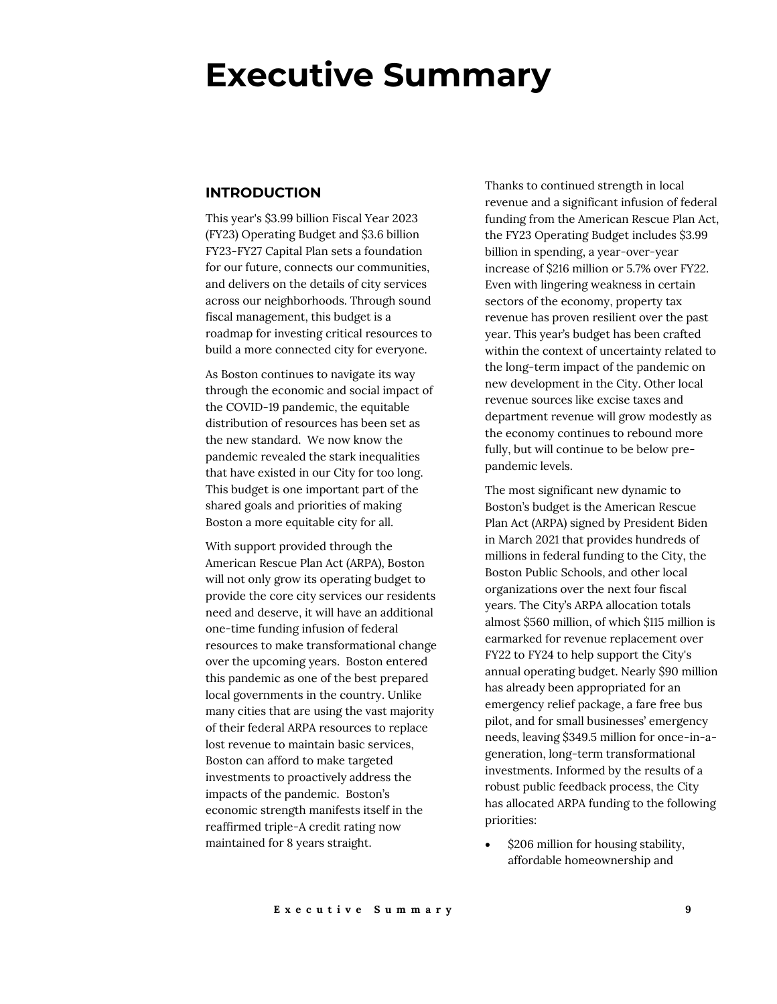# **Executive Summary**

#### **INTRODUCTION**

This year's \$3.99 billion Fiscal Year 2023 (FY23) Operating Budget and \$3.6 billion FY23-FY27 Capital Plan sets a foundation for our future, connects our communities, and delivers on the details of city services across our neighborhoods. Through sound fiscal management, this budget is a roadmap for investing critical resources to build a more connected city for everyone.

As Boston continues to navigate its way through the economic and social impact of the COVID-19 pandemic, the equitable distribution of resources has been set as the new standard. We now know the pandemic revealed the stark inequalities that have existed in our City for too long. This budget is one important part of the shared goals and priorities of making Boston a more equitable city for all.

With support provided through the American Rescue Plan Act (ARPA), Boston will not only grow its operating budget to provide the core city services our residents need and deserve, it will have an additional one-time funding infusion of federal resources to make transformational change over the upcoming years. Boston entered this pandemic as one of the best prepared local governments in the country. Unlike many cities that are using the vast majority of their federal ARPA resources to replace lost revenue to maintain basic services, Boston can afford to make targeted investments to proactively address the impacts of the pandemic. Boston's economic strength manifests itself in the reaffirmed triple-A credit rating now maintained for 8 years straight.

Thanks to continued strength in local revenue and a significant infusion of federal funding from the American Rescue Plan Act, the FY23 Operating Budget includes \$3.99 billion in spending, a year-over-year increase of \$216 million or 5.7% over FY22. Even with lingering weakness in certain sectors of the economy, property tax revenue has proven resilient over the past year. This year's budget has been crafted within the context of uncertainty related to the long-term impact of the pandemic on new development in the City. Other local revenue sources like excise taxes and department revenue will grow modestly as the economy continues to rebound more fully, but will continue to be below prepandemic levels.

The most significant new dynamic to Boston's budget is the American Rescue Plan Act (ARPA) signed by President Biden in March 2021 that provides hundreds of millions in federal funding to the City, the Boston Public Schools, and other local organizations over the next four fiscal years. The City's ARPA allocation totals almost \$560 million, of which \$115 million is earmarked for revenue replacement over FY22 to FY24 to help support the City's annual operating budget. Nearly \$90 million has already been appropriated for an emergency relief package, a fare free bus pilot, and for small businesses' emergency needs, leaving \$349.5 million for once-in-ageneration, long-term transformational investments. Informed by the results of a robust public feedback process, the City has allocated ARPA funding to the following priorities:

• \$206 million for housing stability, affordable homeownership and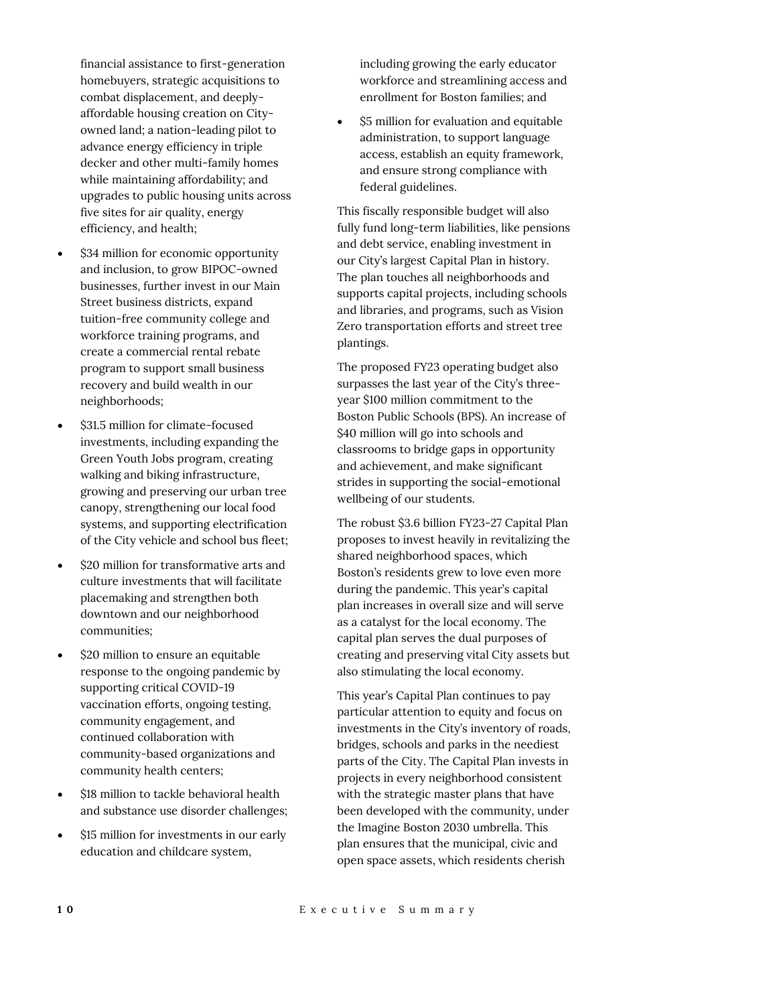financial assistance to first-generation homebuyers, strategic acquisitions to combat displacement, and deeplyaffordable housing creation on Cityowned land; a nation-leading pilot to advance energy efficiency in triple decker and other multi-family homes while maintaining affordability; and upgrades to public housing units across five sites for air quality, energy efficiency, and health;

- \$34 million for economic opportunity and inclusion, to grow BIPOC-owned businesses, further invest in our Main Street business districts, expand tuition-free community college and workforce training programs, and create a commercial rental rebate program to support small business recovery and build wealth in our neighborhoods;
- \$31.5 million for climate-focused investments, including expanding the Green Youth Jobs program, creating walking and biking infrastructure, growing and preserving our urban tree canopy, strengthening our local food systems, and supporting electrification of the City vehicle and school bus fleet;
- \$20 million for transformative arts and culture investments that will facilitate placemaking and strengthen both downtown and our neighborhood communities;
- \$20 million to ensure an equitable response to the ongoing pandemic by supporting critical COVID-19 vaccination efforts, ongoing testing, community engagement, and continued collaboration with community-based organizations and community health centers;
- \$18 million to tackle behavioral health and substance use disorder challenges;
- \$15 million for investments in our early education and childcare system,

including growing the early educator workforce and streamlining access and enrollment for Boston families; and

• \$5 million for evaluation and equitable administration, to support language access, establish an equity framework, and ensure strong compliance with federal guidelines.

This fiscally responsible budget will also fully fund long-term liabilities, like pensions and debt service, enabling investment in our City's largest Capital Plan in history. The plan touches all neighborhoods and supports capital projects, including schools and libraries, and programs, such as Vision Zero transportation efforts and street tree plantings.

The proposed FY23 operating budget also surpasses the last year of the City's threeyear \$100 million commitment to the Boston Public Schools (BPS). An increase of \$40 million will go into schools and classrooms to bridge gaps in opportunity and achievement, and make significant strides in supporting the social-emotional wellbeing of our students.

The robust \$3.6 billion FY23-27 Capital Plan proposes to invest heavily in revitalizing the shared neighborhood spaces, which Boston's residents grew to love even more during the pandemic. This year's capital plan increases in overall size and will serve as a catalyst for the local economy. The capital plan serves the dual purposes of creating and preserving vital City assets but also stimulating the local economy.

This year's Capital Plan continues to pay particular attention to equity and focus on investments in the City's inventory of roads, bridges, schools and parks in the neediest parts of the City. The Capital Plan invests in projects in every neighborhood consistent with the strategic master plans that have been developed with the community, under the Imagine Boston 2030 umbrella. This plan ensures that the municipal, civic and open space assets, which residents cherish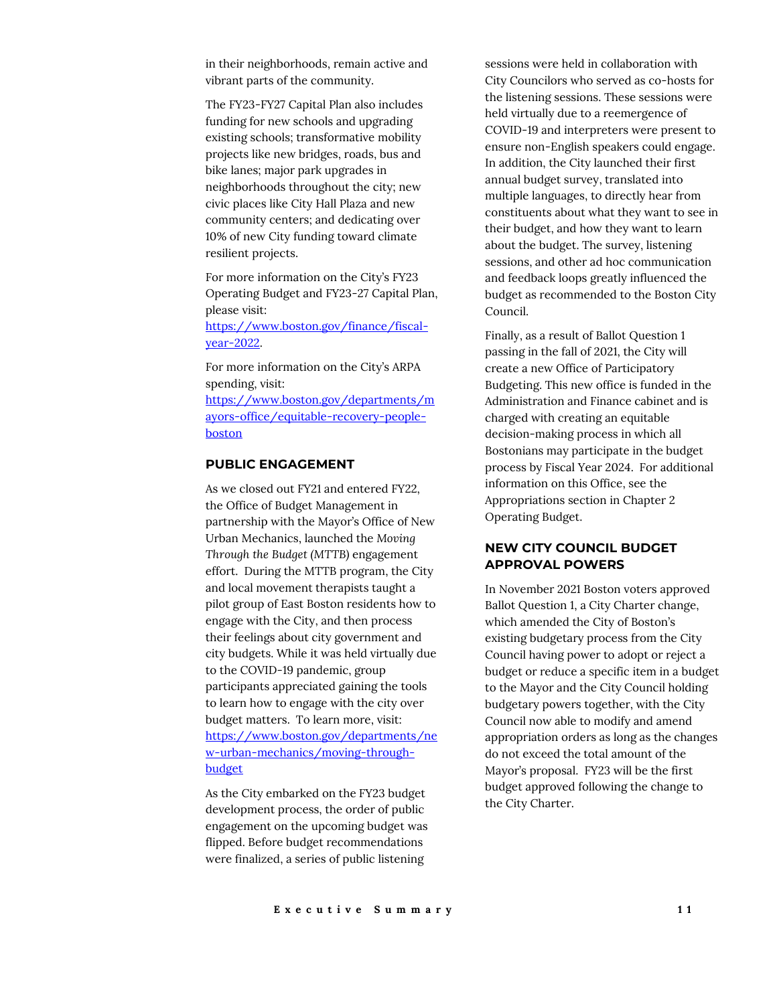in their neighborhoods, remain active and vibrant parts of the community.

The FY23-FY27 Capital Plan also includes funding for new schools and upgrading existing schools; transformative mobility projects like new bridges, roads, bus and bike lanes; major park upgrades in neighborhoods throughout the city; new civic places like City Hall Plaza and new community centers; and dedicating over 10% of new City funding toward climate resilient projects.

For more information on the City's FY23 Operating Budget and FY23-27 Capital Plan, please visit:

[https://www.boston.gov/finance/fiscal](https://www.boston.gov/finance/fiscal-year-2022)[year-2022.](https://www.boston.gov/finance/fiscal-year-2022) 

For more information on the City's ARPA spending, visit: [https://www.boston.gov/departments/m](https://www.boston.gov/departments/mayors-office/equitable-recovery-people-boston) [ayors-office/equitable-recovery-people](https://www.boston.gov/departments/mayors-office/equitable-recovery-people-boston)[boston](https://www.boston.gov/departments/mayors-office/equitable-recovery-people-boston)

#### **PUBLIC ENGAGEMENT**

As we closed out FY21 and entered FY22, the Office of Budget Management in partnership with the Mayor's Office of New Urban Mechanics, launched the *Moving Through the Budget (MTTB)* engagement effort. During the MTTB program, the City and local movement therapists taught a pilot group of East Boston residents how to engage with the City, and then process their feelings about city government and city budgets. While it was held virtually due to the COVID-19 pandemic, group participants appreciated gaining the tools to learn how to engage with the city over budget matters. To learn more, visit: [https://www.boston.gov/departments/ne](https://www.boston.gov/departments/new-urban-mechanics/moving-through-budget) [w-urban-mechanics/moving-through](https://www.boston.gov/departments/new-urban-mechanics/moving-through-budget)[budget](https://www.boston.gov/departments/new-urban-mechanics/moving-through-budget)

As the City embarked on the FY23 budget development process, the order of public engagement on the upcoming budget was flipped. Before budget recommendations were finalized, a series of public listening

sessions were held in collaboration with City Councilors who served as co-hosts for the listening sessions. These sessions were held virtually due to a reemergence of COVID-19 and interpreters were present to ensure non-English speakers could engage. In addition, the City launched their first annual budget survey, translated into multiple languages, to directly hear from constituents about what they want to see in their budget, and how they want to learn about the budget. The survey, listening sessions, and other ad hoc communication and feedback loops greatly influenced the budget as recommended to the Boston City Council.

Finally, as a result of Ballot Question 1 passing in the fall of 2021, the City will create a new Office of Participatory Budgeting. This new office is funded in the Administration and Finance cabinet and is charged with creating an equitable decision-making process in which all Bostonians may participate in the budget process by Fiscal Year 2024. For additional information on this Office, see the Appropriations section in Chapter 2 Operating Budget.

## **NEW CITY COUNCIL BUDGET APPROVAL POWERS**

In November 2021 Boston voters approved Ballot Question 1, a City Charter change, which amended the City of Boston's existing budgetary process from the City Council having power to adopt or reject a budget or reduce a specific item in a budget to the Mayor and the City Council holding budgetary powers together, with the City Council now able to modify and amend appropriation orders as long as the changes do not exceed the total amount of the Mayor's proposal. FY23 will be the first budget approved following the change to the City Charter.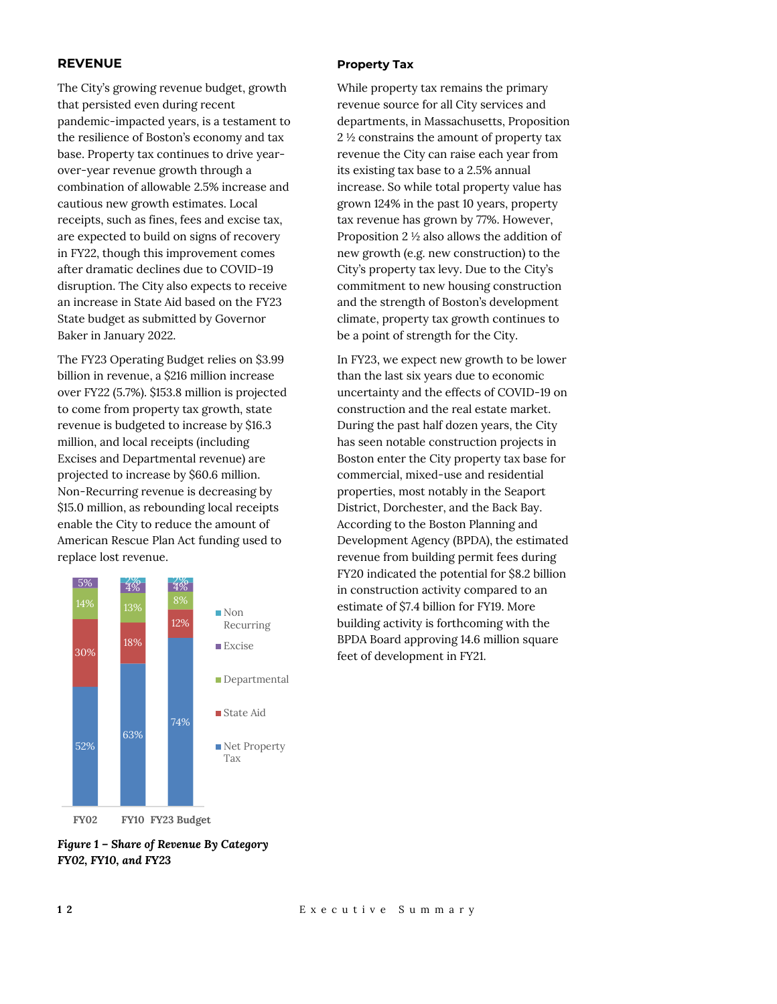#### **REVENUE**

The City's growing revenue budget, growth that persisted even during recent pandemic-impacted years, is a testament to the resilience of Boston's economy and tax base. Property tax continues to drive yearover-year revenue growth through a combination of allowable 2.5% increase and cautious new growth estimates. Local receipts, such as fines, fees and excise tax, are expected to build on signs of recovery in FY22, though this improvement comes after dramatic declines due to COVID-19 disruption. The City also expects to receive an increase in State Aid based on the FY23 State budget as submitted by Governor Baker in January 2022.

The FY23 Operating Budget relies on \$3.99 billion in revenue, a \$216 million increase over FY22 (5.7%). \$153.8 million is projected to come from property tax growth, state revenue is budgeted to increase by \$16.3 million, and local receipts (including Excises and Departmental revenue) are projected to increase by \$60.6 million. Non-Recurring revenue is decreasing by \$15.0 million, as rebounding local receipts enable the City to reduce the amount of American Rescue Plan Act funding used to replace lost revenue.



# *Figure 1 – Share of Revenue By Category FY02, FY10, and FY23*

#### **Property Tax**

While property tax remains the primary revenue source for all City services and departments, in Massachusetts, Proposition 2 ½ constrains the amount of property tax revenue the City can raise each year from its existing tax base to a 2.5% annual increase. So while total property value has grown 124% in the past 10 years, property tax revenue has grown by 77%. However, Proposition 2 ½ also allows the addition of new growth (e.g. new construction) to the City's property tax levy. Due to the City's commitment to new housing construction and the strength of Boston's development climate, property tax growth continues to be a point of strength for the City.

In FY23, we expect new growth to be lower than the last six years due to economic uncertainty and the effects of COVID-19 on construction and the real estate market. During the past half dozen years, the City has seen notable construction projects in Boston enter the City property tax base for commercial, mixed-use and residential properties, most notably in the Seaport District, Dorchester, and the Back Bay. According to the Boston Planning and Development Agency (BPDA), the estimated revenue from building permit fees during FY20 indicated the potential for \$8.2 billion in construction activity compared to an estimate of \$7.4 billion for FY19. More building activity is forthcoming with the BPDA Board approving 14.6 million square feet of development in FY21.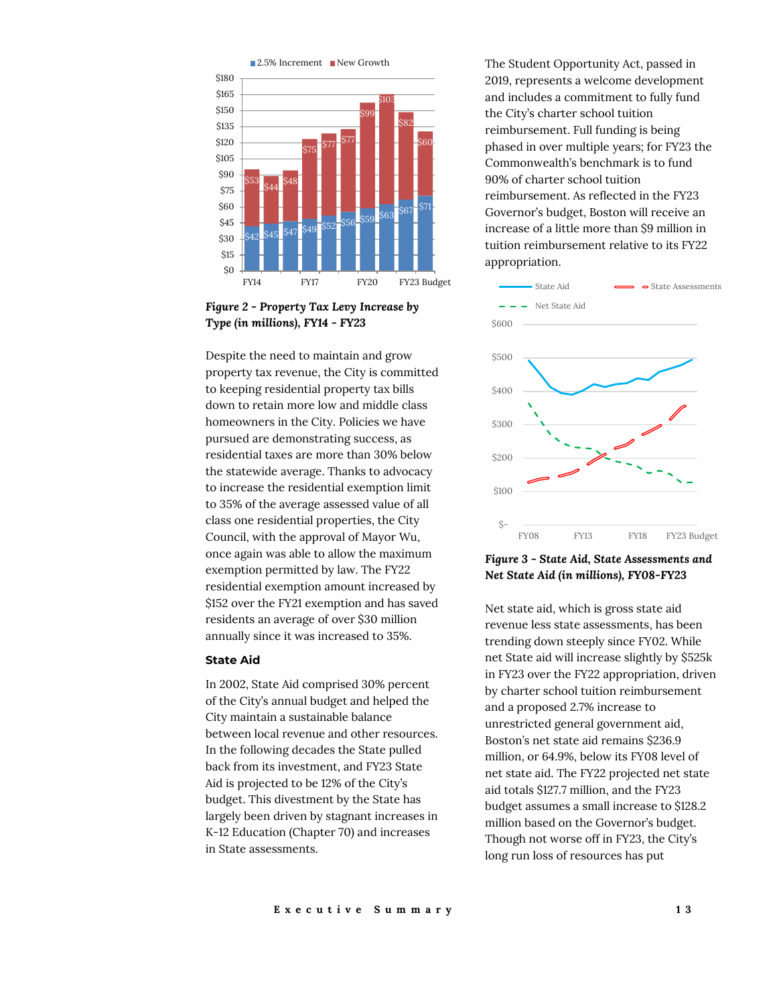

*Figure 2 - Property Tax Levy Increase by Type (in millions), FY14 - FY23*

Despite the need to maintain and grow property tax revenue, the City is committed to keeping residential property tax bills down to retain more low and middle class homeowners in the City. Policies we have pursued are demonstrating success, as residential taxes are more than 30% below the statewide average. Thanks to advocacy to increase the residential exemption limit to 35% of the average assessed value of all class one residential properties, the City Council, with the approval of Mayor Wu, once again was able to allow the maximum exemption permitted by law. The FY22 residential exemption amount increased by \$152 over the FY21 exemption and has saved residents an average of over \$30 million annually since it was increased to 35%.

#### **State Aid**

In 2002, State Aid comprised 30% percent of the City's annual budget and helped the City maintain a sustainable balance between local revenue and other resources. In the following decades the State pulled back from its investment, and FY23 State Aid is projected to be 12% of the City's budget. This divestment by the State has largely been driven by stagnant increases in K-12 Education (Chapter 70) and increases in State assessments.

The Student Opportunity Act, passed in 2019, represents a welcome development and includes a commitment to fully fund the City's charter school tuition reimbursement. Full funding is being phased in over multiple years; for FY23 the Commonwealth's benchmark is to fund 90% of charter school tuition reimbursement. As reflected in the FY23 Governor's budget, Boston will receive an increase of a little more than \$9 million in tuition reimbursement relative to its FY22 appropriation.



*Figure 3 - State Aid, State Assessments and Net State Aid (in millions), FY08-FY23*

Net state aid, which is gross state aid revenue less state assessments, has been trending down steeply since FY02. While net State aid will increase slightly by \$525k in FY23 over the FY22 appropriation, driven by charter school tuition reimbursement and a proposed 2.7% increase to unrestricted general government aid, Boston's net state aid remains \$236.9 million, or 64.9%, below its FY08 level of net state aid. The FY22 projected net state aid totals \$127.7 million, and the FY23 budget assumes a small increase to \$128.2 million based on the Governor's budget. Though not worse off in FY23, the City's long run loss of resources has put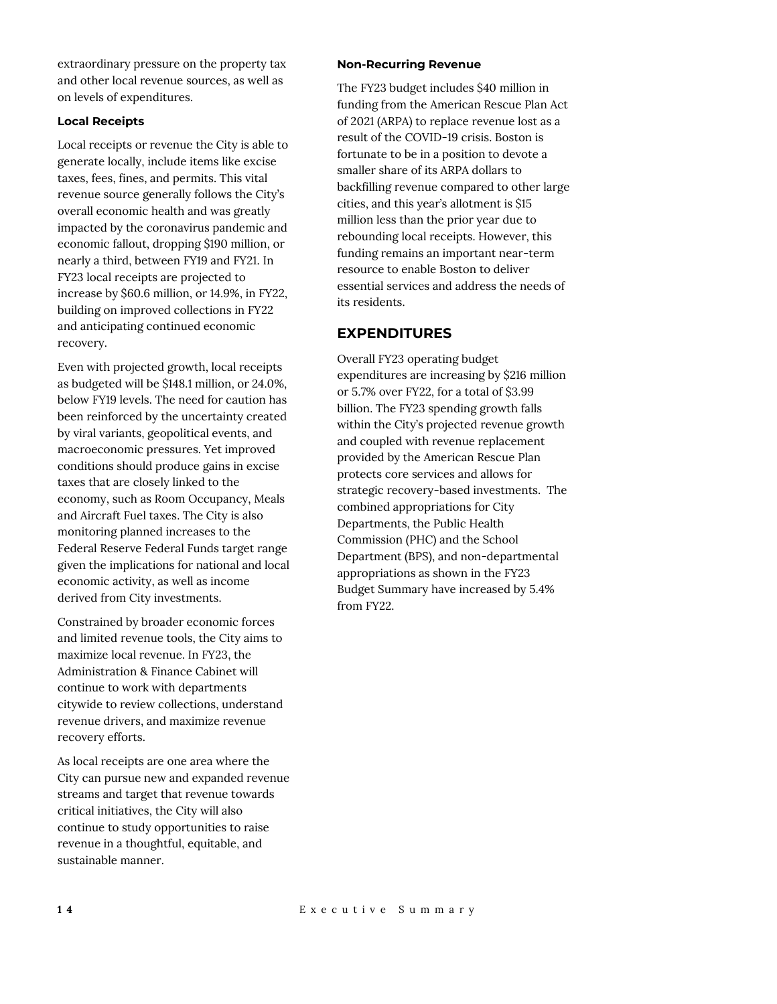extraordinary pressure on the property tax and other local revenue sources, as well as on levels of expenditures.

#### **Local Receipts**

Local receipts or revenue the City is able to generate locally, include items like excise taxes, fees, fines, and permits. This vital revenue source generally follows the City's overall economic health and was greatly impacted by the coronavirus pandemic and economic fallout, dropping \$190 million, or nearly a third, between FY19 and FY21. In FY23 local receipts are projected to increase by \$60.6 million, or 14.9%, in FY22, building on improved collections in FY22 and anticipating continued economic recovery.

Even with projected growth, local receipts as budgeted will be \$148.1 million, or 24.0%, below FY19 levels. The need for caution has been reinforced by the uncertainty created by viral variants, geopolitical events, and macroeconomic pressures. Yet improved conditions should produce gains in excise taxes that are closely linked to the economy, such as Room Occupancy, Meals and Aircraft Fuel taxes. The City is also monitoring planned increases to the Federal Reserve Federal Funds target range given the implications for national and local economic activity, as well as income derived from City investments.

Constrained by broader economic forces and limited revenue tools, the City aims to maximize local revenue. In FY23, the Administration & Finance Cabinet will continue to work with departments citywide to review collections, understand revenue drivers, and maximize revenue recovery efforts.

As local receipts are one area where the City can pursue new and expanded revenue streams and target that revenue towards critical initiatives, the City will also continue to study opportunities to raise revenue in a thoughtful, equitable, and sustainable manner.

#### **Non-Recurring Revenue**

The FY23 budget includes \$40 million in funding from the American Rescue Plan Act of 2021 (ARPA) to replace revenue lost as a result of the COVID-19 crisis. Boston is fortunate to be in a position to devote a smaller share of its ARPA dollars to backfilling revenue compared to other large cities, and this year's allotment is \$15 million less than the prior year due to rebounding local receipts. However, this funding remains an important near-term resource to enable Boston to deliver essential services and address the needs of its residents.

# **EXPENDITURES**

Overall FY23 operating budget expenditures are increasing by \$216 million or 5.7% over FY22, for a total of \$3.99 billion. The FY23 spending growth falls within the City's projected revenue growth and coupled with revenue replacement provided by the American Rescue Plan protects core services and allows for strategic recovery-based investments. The combined appropriations for City Departments, the Public Health Commission (PHC) and the School Department (BPS), and non-departmental appropriations as shown in the FY23 Budget Summary have increased by 5.4% from FY22.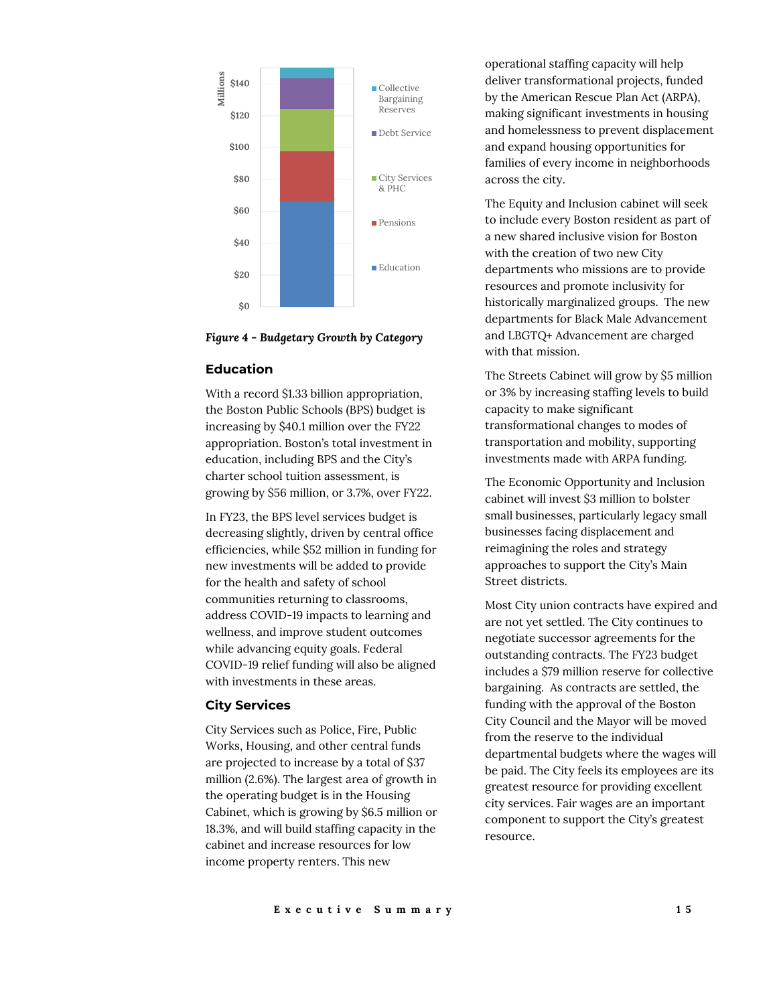

*Figure 4 - Budgetary Growth by Category*

## **Education**

With a record \$1.33 billion appropriation, the Boston Public Schools (BPS) budget is increasing by \$40.1 million over the FY22 appropriation. Boston's total investment in education, including BPS and the City's charter school tuition assessment, is growing by \$56 million, or 3.7%, over FY22.

In FY23, the BPS level services budget is decreasing slightly, driven by central office efficiencies, while \$52 million in funding for new investments will be added to provide for the health and safety of school communities returning to classrooms, address COVID-19 impacts to learning and wellness, and improve student outcomes while advancing equity goals. Federal COVID-19 relief funding will also be aligned with investments in these areas.

#### **City Services**

City Services such as Police, Fire, Public Works, Housing, and other central funds are projected to increase by a total of \$37 million (2.6%). The largest area of growth in the operating budget is in the Housing Cabinet, which is growing by \$6.5 million or 18.3%, and will build staffing capacity in the cabinet and increase resources for low income property renters. This new

operational staffing capacity will help deliver transformational projects, funded by the American Rescue Plan Act (ARPA), making significant investments in housing and homelessness to prevent displacement and expand housing opportunities for families of every income in neighborhoods across the city.

The Equity and Inclusion cabinet will seek to include every Boston resident as part of a new shared inclusive vision for Boston with the creation of two new City departments who missions are to provide resources and promote inclusivity for historically marginalized groups. The new departments for Black Male Advancement and LBGTQ+ Advancement are charged with that mission.

The Streets Cabinet will grow by \$5 million or 3% by increasing staffing levels to build capacity to make significant transformational changes to modes of transportation and mobility, supporting investments made with ARPA funding.

The Economic Opportunity and Inclusion cabinet will invest \$3 million to bolster small businesses, particularly legacy small businesses facing displacement and reimagining the roles and strategy approaches to support the City's Main Street districts.

Most City union contracts have expired and are not yet settled. The City continues to negotiate successor agreements for the outstanding contracts. The FY23 budget includes a \$79 million reserve for collective bargaining. As contracts are settled, the funding with the approval of the Boston City Council and the Mayor will be moved from the reserve to the individual departmental budgets where the wages will be paid. The City feels its employees are its greatest resource for providing excellent city services. Fair wages are an important component to support the City's greatest resource.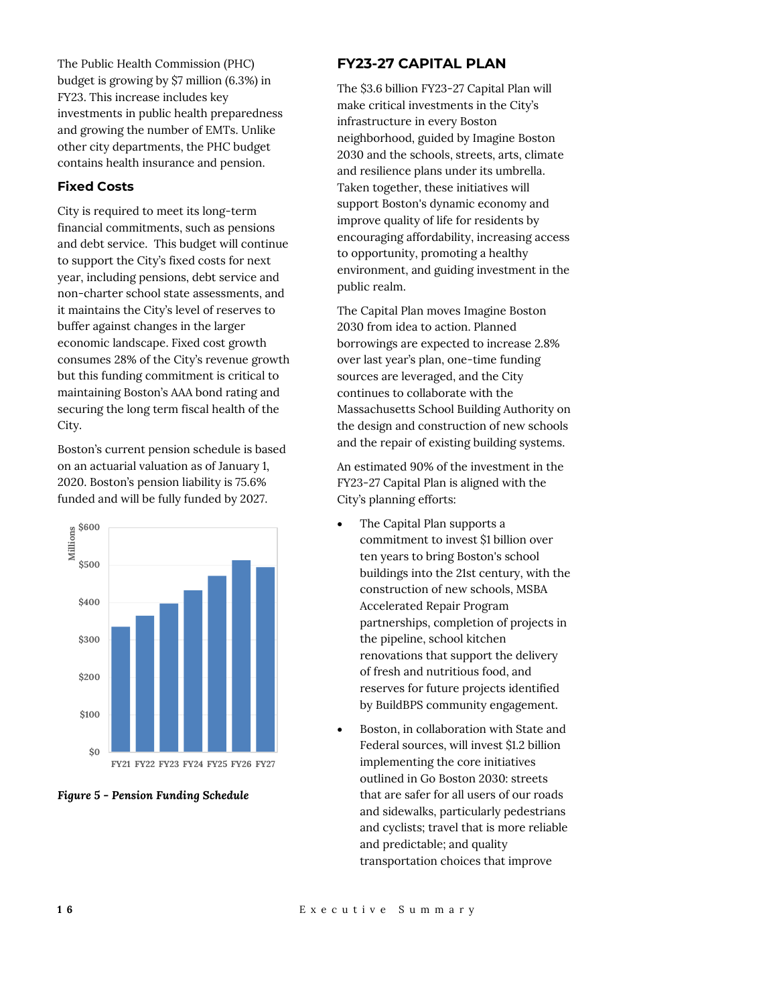The Public Health Commission (PHC) budget is growing by \$7 million (6.3%) in FY23. This increase includes key investments in public health preparedness and growing the number of EMTs. Unlike other city departments, the PHC budget contains health insurance and pension.

## **Fixed Costs**

City is required to meet its long-term financial commitments, such as pensions and debt service. This budget will continue to support the City's fixed costs for next year, including pensions, debt service and non-charter school state assessments, and it maintains the City's level of reserves to buffer against changes in the larger economic landscape. Fixed cost growth consumes 28% of the City's revenue growth but this funding commitment is critical to maintaining Boston's AAA bond rating and securing the long term fiscal health of the City.

Boston's current pension schedule is based on an actuarial valuation as of January 1, 2020. Boston's pension liability is 75.6% funded and will be fully funded by 2027.



*Figure 5 - Pension Funding Schedule*

# **FY23-27 CAPITAL PLAN**

The \$3.6 billion FY23-27 Capital Plan will make critical investments in the City's infrastructure in every Boston neighborhood, guided by Imagine Boston 2030 and the schools, streets, arts, climate and resilience plans under its umbrella. Taken together, these initiatives will support Boston's dynamic economy and improve quality of life for residents by encouraging affordability, increasing access to opportunity, promoting a healthy environment, and guiding investment in the public realm.

The Capital Plan moves Imagine Boston 2030 from idea to action. Planned borrowings are expected to increase 2.8% over last year's plan, one-time funding sources are leveraged, and the City continues to collaborate with the Massachusetts School Building Authority on the design and construction of new schools and the repair of existing building systems.

An estimated 90% of the investment in the FY23-27 Capital Plan is aligned with the City's planning efforts:

- The Capital Plan supports a commitment to invest \$1 billion over ten years to bring Boston's school buildings into the 21st century, with the construction of new schools, MSBA Accelerated Repair Program partnerships, completion of projects in the pipeline, school kitchen renovations that support the delivery of fresh and nutritious food, and reserves for future projects identified by BuildBPS community engagement.
- Boston, in collaboration with State and Federal sources, will invest \$1.2 billion implementing the core initiatives outlined in Go Boston 2030: streets that are safer for all users of our roads and sidewalks, particularly pedestrians and cyclists; travel that is more reliable and predictable; and quality transportation choices that improve